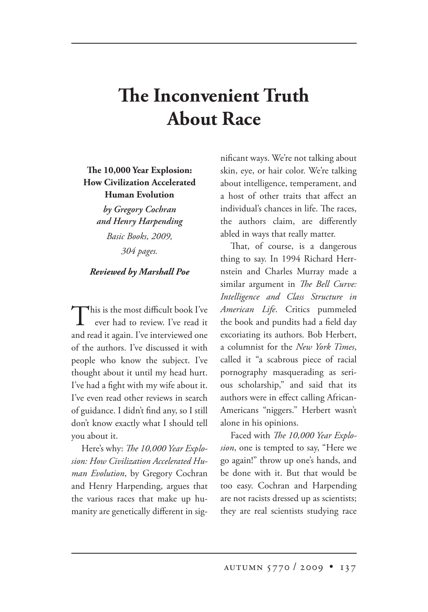## **e Inconvenient Truth About Race**

## **e 10,000 Year Explosion: How Civilization Accelerated Human Evolution**

*by Gregory Cochran and Henry Harpending Basic Books, 2009, 304 pages.*

## *Reviewed by Marshall Poe*

This is the most difficult book I've ever had to review. I've read it and read it again. I've interviewed one of the authors. I've discussed it with people who know the subject. I've thought about it until my head hurt. I've had a fight with my wife about it. I've even read other reviews in search of guidance. I didn't find any, so I still don't know exactly what I should tell you about it.

Here's why: *The 10,000 Year Explosion: How Civilization Accelerated Human Evolution*, by Gregory Cochran and Henry Harpending, argues that the various races that make up humanity are genetically different in significant ways. We're not talking about skin, eye, or hair color. We're talking about intelligence, temperament, and a host of other traits that affect an individual's chances in life. The races, the authors claim, are differently abled in ways that really matter.

That, of course, is a dangerous thing to say. In 1994 Richard Herrnstein and Charles Murray made a similar argument in *The Bell Curve: Intelligence and Class Structure in American Life*. Critics pummeled the book and pundits had a field day excoriating its authors. Bob Herbert, a columnist for the *New York Times*, called it "a scabrous piece of racial pornography masquerading as serious scholarship," and said that its authors were in effect calling African-Americans "niggers." Herbert wasn't alone in his opinions.

Faced with *The 10,000 Year Explosion*, one is tempted to say, "Here we go again!" throw up one's hands, and be done with it. But that would be too easy. Cochran and Harpending are not racists dressed up as scientists; they are real scientists studying race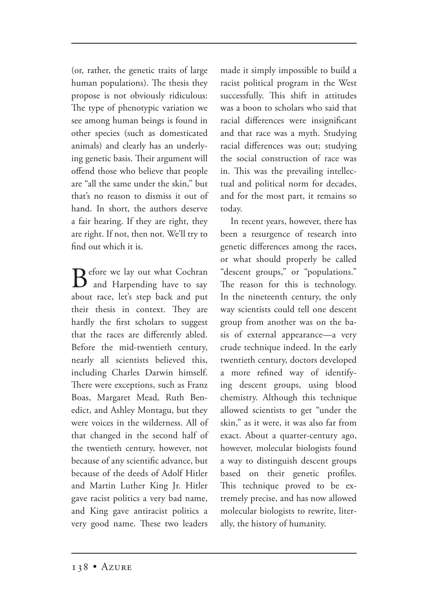(or, rather, the genetic traits of large human populations). The thesis they propose is not obviously ridiculous: The type of phenotypic variation we see among human beings is found in other species (such as domesticated animals) and clearly has an underlying genetic basis. Their argument will offend those who believe that people are "all the same under the skin," but that's no reason to dismiss it out of hand. In short, the authors deserve a fair hearing. If they are right, they are right. If not, then not. We'll try to find out which it is.

 $\mathbf{B}$  efore we lay out what Cochran and Harpending have to say about race, let's step back and put their thesis in context. They are hardly the first scholars to suggest that the races are differently abled. Before the mid-twentieth century, nearly all scientists believed this, including Charles Darwin himself. There were exceptions, such as Franz Boas, Margaret Mead, Ruth Benedict, and Ashley Montagu, but they were voices in the wilderness. All of that changed in the second half of the twentieth century, however, not because of any scientific advance, but because of the deeds of Adolf Hitler and Martin Luther King Jr. Hitler gave racist politics a very bad name, and King gave antiracist politics a very good name. These two leaders

made it simply impossible to build a racist political program in the West successfully. This shift in attitudes was a boon to scholars who said that racial differences were insignificant and that race was a myth. Studying racial differences was out; studying the social construction of race was in. This was the prevailing intellectual and political norm for decades, and for the most part, it remains so today.

In recent years, however, there has been a resurgence of research into genetic differences among the races, or what should properly be called "descent groups," or "populations." The reason for this is technology. In the nineteenth century, the only way scientists could tell one descent group from another was on the basis of external appearance—a very crude technique indeed. In the early twentieth century, doctors developed a more refined way of identifying descent groups, using blood chemistry. Although this technique allowed scientists to get "under the skin," as it were, it was also far from exact. About a quarter-century ago, however, molecular biologists found a way to distinguish descent groups based on their genetic profiles. This technique proved to be extremely precise, and has now allowed molecular biologists to rewrite, literally, the history of humanity.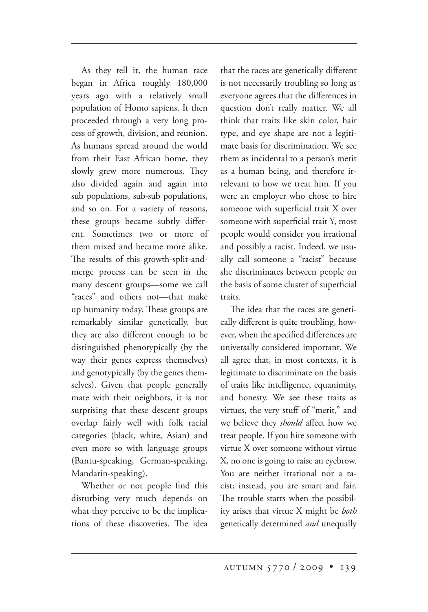As they tell it, the human race began in Africa roughly 180,000 years ago with a relatively small population of Homo sapiens. It then proceeded through a very long process of growth, division, and reunion. As humans spread around the world from their East African home, they slowly grew more numerous. They also divided again and again into sub populations, sub-sub populations, and so on. For a variety of reasons, these groups became subtly different. Sometimes two or more of them mixed and became more alike. The results of this growth-split-andmerge process can be seen in the many descent groups—some we call "races" and others not—that make up humanity today. These groups are remarkably similar genetically, but they are also different enough to be distinguished phenotypically (by the way their genes express themselves) and genotypically (by the genes themselves). Given that people generally mate with their neighbors, it is not surprising that these descent groups overlap fairly well with folk racial categories (black, white, Asian) and even more so with language groups (Bantu-speaking, German-speaking, Mandarin-speaking).

Whether or not people find this disturbing very much depends on what they perceive to be the implications of these discoveries. The idea that the races are genetically different is not necessarily troubling so long as everyone agrees that the differences in question don't really matter. We all think that traits like skin color, hair type, and eye shape are not a legitimate basis for discrimination. We see them as incidental to a person's merit as a human being, and therefore irrelevant to how we treat him. If you were an employer who chose to hire someone with superficial trait X over someone with superficial trait Y, most people would consider you irrational and possibly a racist. Indeed, we usually call someone a "racist" because she discriminates between people on the basis of some cluster of superficial traits.

The idea that the races are genetically different is quite troubling, however, when the specified differences are universally considered important. We all agree that, in most contexts, it is legitimate to discriminate on the basis of traits like intelligence, equanimity, and honesty. We see these traits as virtues, the very stuff of "merit," and we believe they *should* affect how we treat people. If you hire someone with virtue X over someone without virtue X, no one is going to raise an eyebrow. You are neither irrational nor a racist; instead, you are smart and fair. The trouble starts when the possibility arises that virtue X might be *both* genetically determined *and* unequally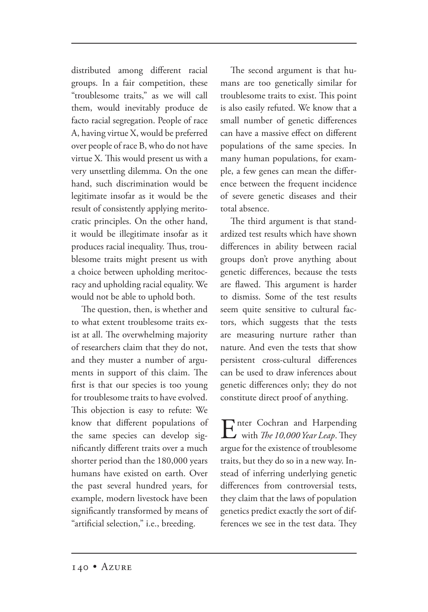distributed among different racial groups. In a fair competition, these "troublesome traits," as we will call them, would inevitably produce de facto racial segregation. People of race A, having virtue X, would be preferred over people of race B, who do not have virtue X. This would present us with a very unsettling dilemma. On the one hand, such discrimination would be legitimate insofar as it would be the result of consistently applying meritocratic principles. On the other hand, it would be illegitimate insofar as it produces racial inequality. Thus, troublesome traits might present us with a choice between upholding meritocracy and upholding racial equality. We would not be able to uphold both.

The question, then, is whether and to what extent troublesome traits exist at all. The overwhelming majority of researchers claim that they do not, and they muster a number of arguments in support of this claim. The first is that our species is too young for troublesome traits to have evolved. This objection is easy to refute: We know that different populations of the same species can develop significantly different traits over a much shorter period than the 180,000 years humans have existed on earth. Over the past several hundred years, for example, modern livestock have been significantly transformed by means of "artificial selection," i.e., breeding.

The second argument is that humans are too genetically similar for troublesome traits to exist. This point is also easily refuted. We know that a small number of genetic differences can have a massive effect on different populations of the same species. In many human populations, for example, a few genes can mean the difference between the frequent incidence of severe genetic diseases and their total absence.

The third argument is that standardized test results which have shown differences in ability between racial groups don't prove anything about genetic differences, because the tests are flawed. This argument is harder to dismiss. Some of the test results seem quite sensitive to cultural factors, which suggests that the tests are measuring nurture rather than nature. And even the tests that show persistent cross-cultural differences can be used to draw inferences about genetic differences only; they do not constitute direct proof of anything.

**F** nter Cochran and Harpending with *The 10,000 Year Leap*. They argue for the existence of troublesome traits, but they do so in a new way. Instead of inferring underlying genetic differences from controversial tests, they claim that the laws of population genetics predict exactly the sort of differences we see in the test data. They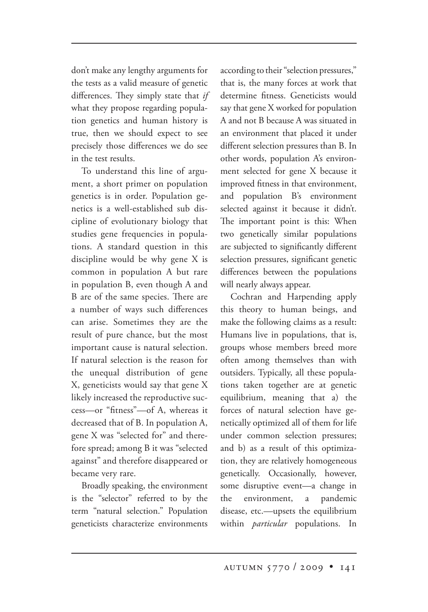don't make any lengthy arguments for the tests as a valid measure of genetic differences. They simply state that *if* what they propose regarding population genetics and human history is true, then we should expect to see precisely those differences we do see in the test results.

To understand this line of argument, a short primer on population genetics is in order. Population genetics is a well-established sub discipline of evolutionary biology that studies gene frequencies in populations. A standard question in this discipline would be why gene X is common in population A but rare in population B, even though A and B are of the same species. There are a number of ways such differences can arise. Sometimes they are the result of pure chance, but the most important cause is natural selection. If natural selection is the reason for the unequal distribution of gene X, geneticists would say that gene X likely increased the reproductive success—or "fitness"—of A, whereas it decreased that of B. In population A, gene X was "selected for" and therefore spread; among B it was "selected against" and therefore disappeared or became very rare.

Broadly speaking, the environment is the "selector" referred to by the term "natural selection." Population geneticists characterize environments according to their "selection pressures," that is, the many forces at work that determine fitness. Geneticists would say that gene X worked for population A and not B because A was situated in an environment that placed it under different selection pressures than B. In other words, population A's environment selected for gene X because it improved fitness in that environment, and population B's environment selected against it because it didn't. The important point is this: When two genetically similar populations are subjected to significantly different selection pressures, significant genetic differences between the populations will nearly always appear.

Cochran and Harpending apply this theory to human beings, and make the following claims as a result: Humans live in populations, that is, groups whose members breed more often among themselves than with outsiders. Typically, all these populations taken together are at genetic equilibrium, meaning that a) the forces of natural selection have genetically optimized all of them for life under common selection pressures; and b) as a result of this optimization, they are relatively homogeneous genetically. Occasionally, however, some disruptive event—a change in the environment, a pandemic disease, etc.—upsets the equilibrium within *particular* populations. In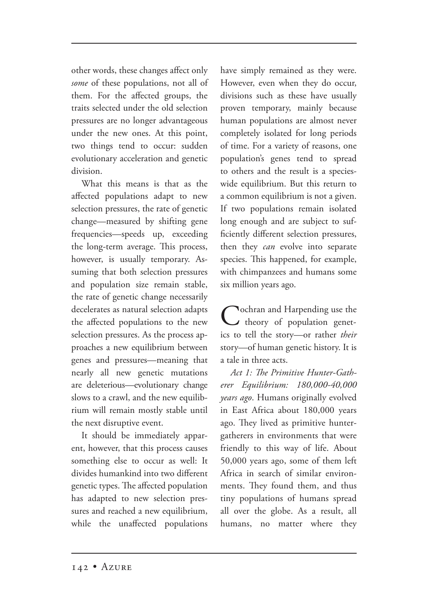other words, these changes affect only *some* of these populations, not all of them. For the affected groups, the traits selected under the old selection pressures are no longer advantageous under the new ones. At this point, two things tend to occur: sudden evolutionary acceleration and genetic division.

What this means is that as the affected populations adapt to new selection pressures, the rate of genetic change—measured by shifting gene frequencies—speeds up, exceeding the long-term average. This process, however, is usually temporary. Assuming that both selection pressures and population size remain stable, the rate of genetic change necessarily decelerates as natural selection adapts the affected populations to the new selection pressures. As the process approaches a new equilibrium between genes and pressures—meaning that nearly all new genetic mutations are deleterious—evolutionary change slows to a crawl, and the new equilibrium will remain mostly stable until the next disruptive event.

It should be immediately apparent, however, that this process causes something else to occur as well: It divides humankind into two different genetic types. The affected population has adapted to new selection pressures and reached a new equilibrium, while the unaffected populations have simply remained as they were. However, even when they do occur, divisions such as these have usually proven temporary, mainly because human populations are almost never completely isolated for long periods of time. For a variety of reasons, one population's genes tend to spread to others and the result is a specieswide equilibrium. But this return to a common equilibrium is not a given. If two populations remain isolated long enough and are subject to sufficiently different selection pressures, then they *can* evolve into separate species. This happened, for example, with chimpanzees and humans some six million years ago.

Cochran and Harpending use the<br>theory of population genetics to tell the story—or rather *their* story—of human genetic history. It is a tale in three acts.

Act 1: The Primitive Hunter-Gath*erer Equilibrium: 180,000-40,000 years ago*. Humans originally evolved in East Africa about 180,000 years ago. They lived as primitive huntergatherers in environments that were friendly to this way of life. About 50,000 years ago, some of them left Africa in search of similar environments. They found them, and thus tiny populations of humans spread all over the globe. As a result, all humans, no matter where they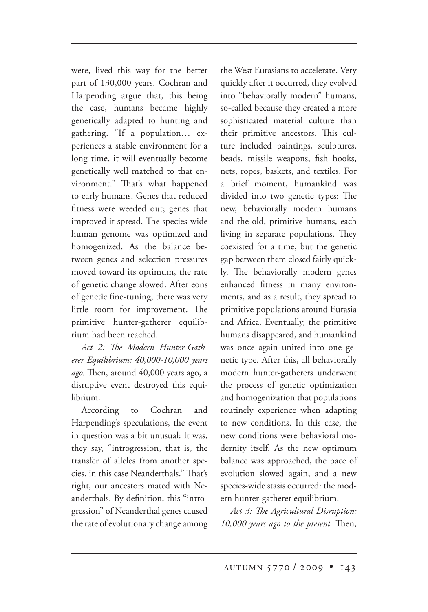were, lived this way for the better part of 130,000 years. Cochran and Harpending argue that, this being the case, humans became highly genetically adapted to hunting and gathering. "If a population… experiences a stable environment for a long time, it will eventually become genetically well matched to that environment." That's what happened to early humans. Genes that reduced fitness were weeded out; genes that improved it spread. The species-wide human genome was optimized and homogenized. As the balance between genes and selection pressures moved toward its optimum, the rate of genetic change slowed. After eons of genetic fine-tuning, there was very little room for improvement. The primitive hunter-gatherer equilibrium had been reached.

Act 2: The Modern Hunter-Gath*erer Equilibrium: 40,000-10,000 years*  ago. Then, around 40,000 years ago, a disruptive event destroyed this equilibrium.

According to Cochran and Harpending's speculations, the event in question was a bit unusual: It was, they say, "introgression, that is, the transfer of alleles from another species, in this case Neanderthals." That's right, our ancestors mated with Neanderthals. By definition, this "introgression" of Neanderthal genes caused the rate of evolutionary change among the West Eurasians to accelerate. Very quickly after it occurred, they evolved into "behaviorally modern" humans, so-called because they created a more sophisticated material culture than their primitive ancestors. This culture included paintings, sculptures, beads, missile weapons, fish hooks, nets, ropes, baskets, and textiles. For a brief moment, humankind was divided into two genetic types: The new, behaviorally modern humans and the old, primitive humans, each living in separate populations. They coexisted for a time, but the genetic gap between them closed fairly quickly. The behaviorally modern genes enhanced fitness in many environments, and as a result, they spread to primitive populations around Eurasia and Africa. Eventually, the primitive humans disappeared, and humankind was once again united into one genetic type. After this, all behaviorally modern hunter-gatherers underwent the process of genetic optimization and homogenization that populations routinely experience when adapting to new conditions. In this case, the new conditions were behavioral modernity itself. As the new optimum balance was approached, the pace of evolution slowed again, and a new species-wide stasis occurred: the modern hunter-gatherer equilibrium.

Act 3: The Agricultural Disruption: *10,000 years ago to the present.* Then,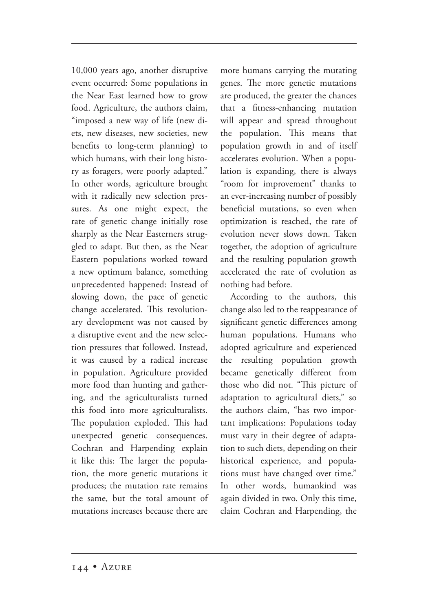10,000 years ago, another disruptive event occurred: Some populations in the Near East learned how to grow food. Agriculture, the authors claim, "imposed a new way of life (new diets, new diseases, new societies, new benefits to long-term planning) to which humans, with their long history as foragers, were poorly adapted." In other words, agriculture brought with it radically new selection pressures. As one might expect, the rate of genetic change initially rose sharply as the Near Easterners struggled to adapt. But then, as the Near Eastern populations worked toward a new optimum balance, something unprecedented happened: Instead of slowing down, the pace of genetic change accelerated. This revolutionary development was not caused by a disruptive event and the new selection pressures that followed. Instead, it was caused by a radical increase in population. Agriculture provided more food than hunting and gathering, and the agriculturalists turned this food into more agriculturalists. The population exploded. This had unexpected genetic consequences. Cochran and Harpending explain it like this: The larger the population, the more genetic mutations it produces; the mutation rate remains the same, but the total amount of mutations increases because there are

more humans carrying the mutating genes. The more genetic mutations are produced, the greater the chances that a fitness-enhancing mutation will appear and spread throughout the population. This means that population growth in and of itself accelerates evolution. When a population is expanding, there is always "room for improvement" thanks to an ever-increasing number of possibly beneficial mutations, so even when optimization is reached, the rate of evolution never slows down. Taken together, the adoption of agriculture and the resulting population growth accelerated the rate of evolution as nothing had before.

According to the authors, this change also led to the reappearance of significant genetic differences among human populations. Humans who adopted agriculture and experienced the resulting population growth became genetically different from those who did not. "This picture of adaptation to agricultural diets," so the authors claim, "has two important implications: Populations today must vary in their degree of adaptation to such diets, depending on their historical experience, and populations must have changed over time." In other words, humankind was again divided in two. Only this time, claim Cochran and Harpending, the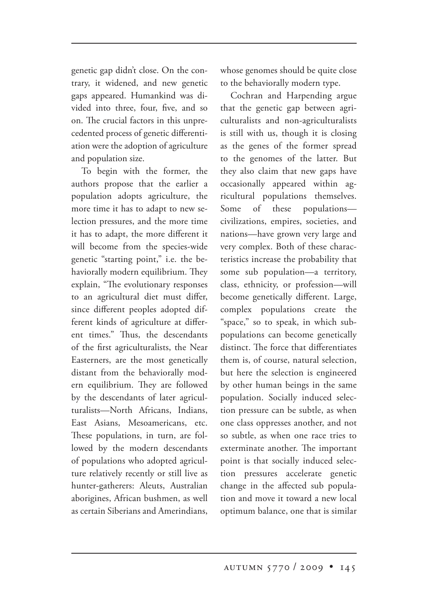genetic gap didn't close. On the contrary, it widened, and new genetic gaps appeared. Humankind was divided into three, four, five, and so on. The crucial factors in this unprecedented process of genetic differentiation were the adoption of agriculture and population size.

To begin with the former, the authors propose that the earlier a population adopts agriculture, the more time it has to adapt to new selection pressures, and the more time it has to adapt, the more different it will become from the species-wide genetic "starting point," i.e. the behaviorally modern equilibrium. They explain, "The evolutionary responses to an agricultural diet must differ, since different peoples adopted different kinds of agriculture at different times." Thus, the descendants of the first agriculturalists, the Near Easterners, are the most genetically distant from the behaviorally modern equilibrium. They are followed by the descendants of later agriculturalists—North Africans, Indians, East Asians, Mesoamericans, etc. These populations, in turn, are followed by the modern descendants of populations who adopted agriculture relatively recently or still live as hunter-gatherers: Aleuts, Australian aborigines, African bushmen, as well as certain Siberians and Amerindians, whose genomes should be quite close to the behaviorally modern type.

Cochran and Harpending argue that the genetic gap between agriculturalists and non-agriculturalists is still with us, though it is closing as the genes of the former spread to the genomes of the latter. But they also claim that new gaps have occasionally appeared within agricultural populations themselves. Some of these populations civilizations, empires, societies, and nations—have grown very large and very complex. Both of these characteristics increase the probability that some sub population—a territory, class, ethnicity, or profession—will become genetically different. Large, complex populations create the "space," so to speak, in which subpopulations can become genetically distinct. The force that differentiates them is, of course, natural selection, but here the selection is engineered by other human beings in the same population. Socially induced selection pressure can be subtle, as when one class oppresses another, and not so subtle, as when one race tries to exterminate another. The important point is that socially induced selection pressures accelerate genetic change in the affected sub population and move it toward a new local optimum balance, one that is similar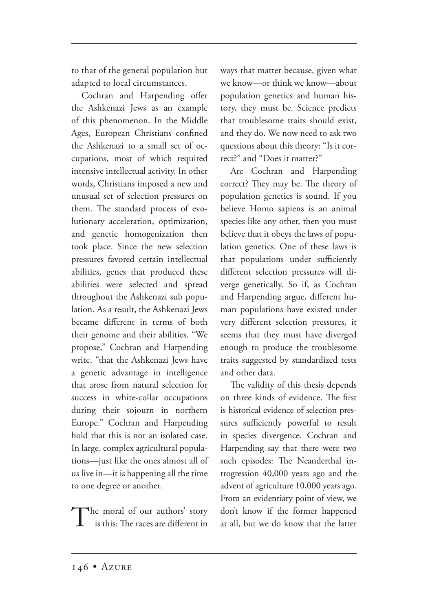to that of the general population but adapted to local circumstances.

Cochran and Harpending offer the Ashkenazi Jews as an example of this phenomenon. In the Middle Ages, European Christians confined the Ashkenazi to a small set of occupations, most of which required intensive intellectual activity. In other words, Christians imposed a new and unusual set of selection pressures on them. The standard process of evolutionary acceleration, optimization, and genetic homogenization then took place. Since the new selection pressures favored certain intellectual abilities, genes that produced these abilities were selected and spread throughout the Ashkenazi sub population. As a result, the Ashkenazi Jews became different in terms of both their genome and their abilities. "We propose," Cochran and Harpending write, "that the Ashkenazi Jews have a genetic advantage in intelligence that arose from natural selection for success in white-collar occupations during their sojourn in northern Europe." Cochran and Harpending hold that this is not an isolated case. In large, complex agricultural populations—just like the ones almost all of us live in—it is happening all the time to one degree or another.

The moral of our authors' story is this: The races are different in ways that matter because, given what we know—or think we know—about population genetics and human history, they must be. Science predicts that troublesome traits should exist, and they do. We now need to ask two questions about this theory: "Is it correct?" and "Does it matter?"

Are Cochran and Harpending correct? They may be. The theory of population genetics is sound. If you believe Homo sapiens is an animal species like any other, then you must believe that it obeys the laws of population genetics. One of these laws is that populations under sufficiently different selection pressures will diverge genetically. So if, as Cochran and Harpending argue, different human populations have existed under very different selection pressures, it seems that they must have diverged enough to produce the troublesome traits suggested by standardized tests and other data.

The validity of this thesis depends on three kinds of evidence. The first is historical evidence of selection pressures sufficiently powerful to result in species divergence. Cochran and Harpending say that there were two such episodes: The Neanderthal introgression 40,000 years ago and the advent of agriculture 10,000 years ago. From an evidentiary point of view, we don't know if the former happened at all, but we do know that the latter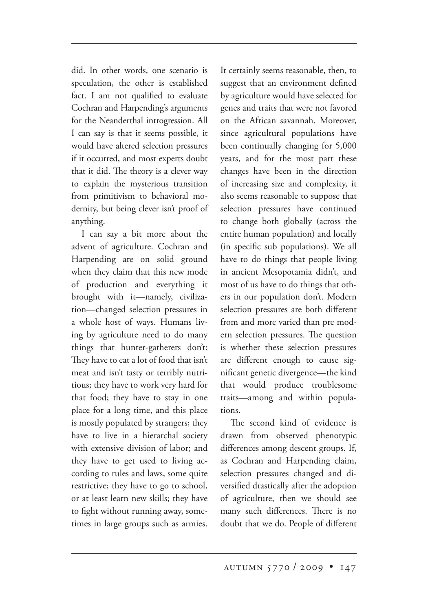did. In other words, one scenario is speculation, the other is established fact. I am not qualified to evaluate Cochran and Harpending's arguments for the Neanderthal introgression. All I can say is that it seems possible, it would have altered selection pressures if it occurred, and most experts doubt that it did. The theory is a clever way to explain the mysterious transition from primitivism to behavioral modernity, but being clever isn't proof of anything.

I can say a bit more about the advent of agriculture. Cochran and Harpending are on solid ground when they claim that this new mode of production and everything it brought with it—namely, civilization—changed selection pressures in a whole host of ways. Humans living by agriculture need to do many things that hunter-gatherers don't: They have to eat a lot of food that isn't meat and isn't tasty or terribly nutritious; they have to work very hard for that food; they have to stay in one place for a long time, and this place is mostly populated by strangers; they have to live in a hierarchal society with extensive division of labor; and they have to get used to living according to rules and laws, some quite restrictive; they have to go to school, or at least learn new skills; they have to fight without running away, sometimes in large groups such as armies. It certainly seems reasonable, then, to suggest that an environment defined by agriculture would have selected for genes and traits that were not favored on the African savannah. Moreover, since agricultural populations have been continually changing for 5,000 years, and for the most part these changes have been in the direction of increasing size and complexity, it also seems reasonable to suppose that selection pressures have continued to change both globally (across the entire human population) and locally (in specific sub populations). We all have to do things that people living in ancient Mesopotamia didn't, and most of us have to do things that others in our population don't. Modern selection pressures are both different from and more varied than pre modern selection pressures. The question is whether these selection pressures are different enough to cause significant genetic divergence—the kind that would produce troublesome traits—among and within populations.

The second kind of evidence is drawn from observed phenotypic differences among descent groups. If, as Cochran and Harpending claim, selection pressures changed and diversified drastically after the adoption of agriculture, then we should see many such differences. There is no doubt that we do. People of different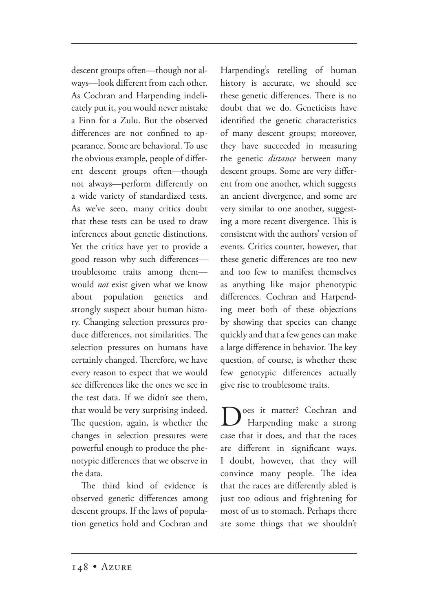descent groups often—though not always—look different from each other. As Cochran and Harpending indelicately put it, you would never mistake a Finn for a Zulu. But the observed differences are not confined to appearance. Some are behavioral. To use the obvious example, people of different descent groups often—though not always—perform differently on a wide variety of standardized tests. As we've seen, many critics doubt that these tests can be used to draw inferences about genetic distinctions. Yet the critics have yet to provide a good reason why such differences troublesome traits among them would *not* exist given what we know about population genetics and strongly suspect about human history. Changing selection pressures produce differences, not similarities. The selection pressures on humans have certainly changed. Therefore, we have every reason to expect that we would see differences like the ones we see in the test data. If we didn't see them, that would be very surprising indeed. The question, again, is whether the changes in selection pressures were powerful enough to produce the phenotypic differences that we observe in the data.

The third kind of evidence is observed genetic differences among descent groups. If the laws of population genetics hold and Cochran and Harpending's retelling of human history is accurate, we should see these genetic differences. There is no doubt that we do. Geneticists have identified the genetic characteristics of many descent groups; moreover, they have succeeded in measuring the genetic *distance* between many descent groups. Some are very different from one another, which suggests an ancient divergence, and some are very similar to one another, suggesting a more recent divergence. This is consistent with the authors' version of events. Critics counter, however, that these genetic differences are too new and too few to manifest themselves as anything like major phenotypic differences. Cochran and Harpending meet both of these objections by showing that species can change quickly and that a few genes can make a large difference in behavior. The key question, of course, is whether these few genotypic differences actually give rise to troublesome traits.

Does it matter? Cochran and Harpending make a strong case that it does, and that the races are different in significant ways. I doubt, however, that they will convince many people. The idea that the races are differently abled is just too odious and frightening for most of us to stomach. Perhaps there are some things that we shouldn't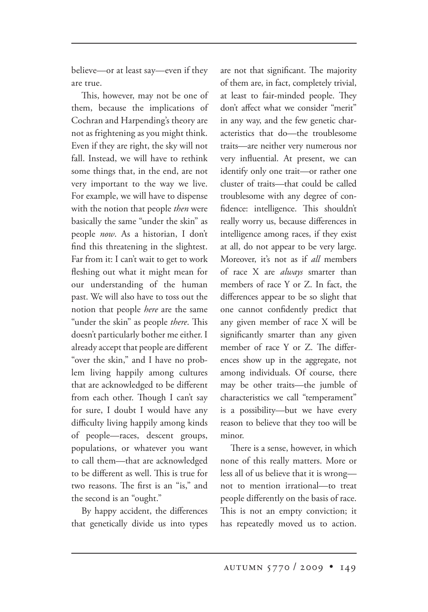believe—or at least say—even if they are true.

This, however, may not be one of them, because the implications of Cochran and Harpending's theory are not as frightening as you might think. Even if they are right, the sky will not fall. Instead, we will have to rethink some things that, in the end, are not very important to the way we live. For example, we will have to dispense with the notion that people *then* were basically the same "under the skin" as people *now*. As a historian, I don't find this threatening in the slightest. Far from it: I can't wait to get to work fleshing out what it might mean for our understanding of the human past. We will also have to toss out the notion that people *here* are the same "under the skin" as people *there*. This doesn't particularly bother me either. I already accept that people are different "over the skin," and I have no problem living happily among cultures that are acknowledged to be different from each other. Though I can't say for sure, I doubt I would have any difficulty living happily among kinds of people—races, descent groups, populations, or whatever you want to call them—that are acknowledged to be different as well. This is true for two reasons. The first is an "is," and the second is an "ought."

By happy accident, the differences that genetically divide us into types are not that significant. The majority of them are, in fact, completely trivial, at least to fair-minded people. They don't affect what we consider "merit" in any way, and the few genetic characteristics that do—the troublesome traits—are neither very numerous nor very influential. At present, we can identify only one trait—or rather one cluster of traits—that could be called troublesome with any degree of confidence: intelligence. This shouldn't really worry us, because differences in intelligence among races, if they exist at all, do not appear to be very large. Moreover, it's not as if *all* members of race X are *always* smarter than members of race Y or Z. In fact, the differences appear to be so slight that one cannot confidently predict that any given member of race X will be significantly smarter than any given member of race Y or Z. The differences show up in the aggregate, not among individuals. Of course, there may be other traits—the jumble of characteristics we call "temperament" is a possibility—but we have every reason to believe that they too will be minor.

There is a sense, however, in which none of this really matters. More or less all of us believe that it is wrong not to mention irrational—to treat people differently on the basis of race. This is not an empty conviction; it has repeatedly moved us to action.